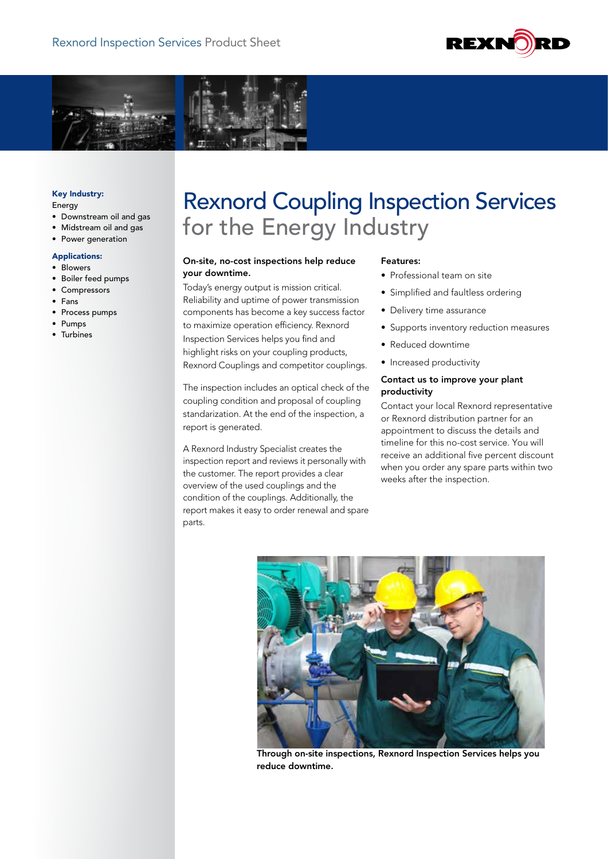



# Key Industry:

Energy

- Downstream oil and gas
- Midstream oil and gas
- Power generation

#### Applications:

- Blowers
- Boiler feed pumps
- Compressors
- Fans
- Process pumps
- Pumps
- Turbines

# Rexnord Coupling Inspection Services for the Energy Industry

## On-site, no-cost inspections help reduce your downtime.

Today's energy output is mission critical. Reliability and uptime of power transmission components has become a key success factor to maximize operation efficiency. Rexnord Inspection Services helps you find and highlight risks on your coupling products, Rexnord Couplings and competitor couplings.

The inspection includes an optical check of the coupling condition and proposal of coupling standarization. At the end of the inspection, a report is generated.

A Rexnord Industry Specialist creates the inspection report and reviews it personally with the customer. The report provides a clear overview of the used couplings and the condition of the couplings. Additionally, the report makes it easy to order renewal and spare parts.

#### Features:

- Professional team on site
- Simplified and faultless ordering
- Delivery time assurance
- Supports inventory reduction measures
- Reduced downtime
- Increased productivity

# Contact us to improve your plant productivity

Contact your local Rexnord representative or Rexnord distribution partner for an appointment to discuss the details and timeline for this no-cost service. You will receive an additional five percent discount when you order any spare parts within two weeks after the inspection.



Through on-site inspections, Rexnord Inspection Services helps you reduce downtime.